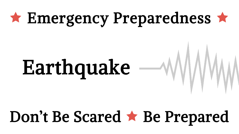# \* Emergency Preparedness \*

# Earthquake  $-\sqrt{W}$

# Don't Be Scared  $\star$  Be Prepared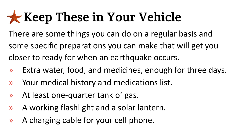### **Keep These in Your Vehicle**

There are some things you can do on a regular basis and some specific preparations you can make that will get you closer to ready for when an earthquake occurs.

- » Extra water, food, and medicines, enough for three days.
- » Your medical history and medications list.
- » At least one-quarter tank of gas.
- » A working flashlight and a solar lantern.
- » A charging cable for your cell phone.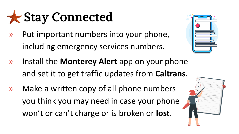Stay Connected

» Put important numbers into your phone, including emergency services numbers.

- 
- » Install the **Monterey Alert** app on your phone and set it to get traffic updates from **Caltrans**.
- » Make a written copy of all phone numbers you think you may need in case your phone won't or can't charge or is broken or **lost**.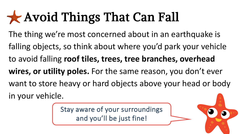### **Avoid Things That Can Fall**

The thing we're most concerned about in an earthquake is falling objects, so think about where you'd park your vehicle to avoid falling **roof tiles, trees, tree branches, overhead wires, or utility poles.** For the same reason, you don't ever want to store heavy or hard objects above your head or body in your vehicle.

> Stay aware of your surroundings and you'll be just fine!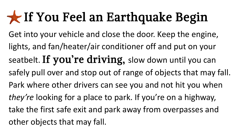#### If You Feel an Earthquake Begin

Get into your vehicle and close the door. Keep the engine, lights, and fan/heater/air conditioner off and put on your seatbelt. If you're driving, slow down until you can safely pull over and stop out of range of objects that may fall. Park where other drivers can see you and not hit you when *they're* looking for a place to park. If you're on a highway, take the first safe exit and park away from overpasses and other objects that may fall.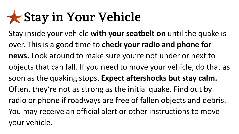#### Stay in Your Vehicle

Stay inside your vehicle **with your seatbelt on** until the quake is over. This is a good time to **check your radio and phone for news.** Look around to make sure you're not under or next to objects that can fall. If you need to move your vehicle, do that as soon as the quaking stops. **Expect aftershocks but stay calm.**  Often, they're not as strong as the initial quake. Find out by radio or phone if roadways are free of fallen objects and debris. You may receive an official alert or other instructions to move your vehicle.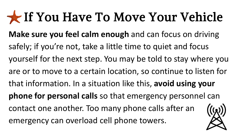#### If You Have To Move Your Vehicle

**Make sure you feel calm enough** and can focus on driving safely; if you're not, take a little time to quiet and focus yourself for the next step. You may be told to stay where you are or to move to a certain location, so continue to listen for that information. In a situation like this, **avoid using your phone for personal calls** so that emergency personnel can contact one another. Too many phone calls after an emergency can overload cell phone towers.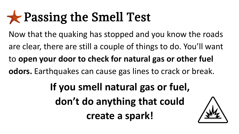#### **Research Smell Test**

Now that the quaking has stopped and you know the roads are clear, there are still a couple of things to do. You'll want to **open your door to check for natural gas or other fuel odors.** Earthquakes can cause gas lines to crack or break.

> **If you smell natural gas or fuel, don't do anything that could create a spark!**

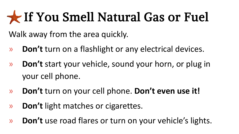#### If You Smell Natural Gas or Fuel

Walk away from the area quickly.

- » **Don't** turn on a flashlight or any electrical devices.
- » **Don't** start your vehicle, sound your horn, or plug in your cell phone.
- » **Don't** turn on your cell phone. **Don't even use it!**
- » **Don't** light matches or cigarettes.
- » **Don't** use road flares or turn on your vehicle's lights.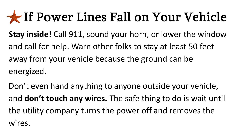#### If Power Lines Fall on Your Vehicle

**Stay inside!** Call 911, sound your horn, or lower the window and call for help. Warn other folks to stay at least 50 feet away from your vehicle because the ground can be energized.

Don't even hand anything to anyone outside your vehicle, and **don't touch any wires.** The safe thing to do is wait until the utility company turns the power off and removes the wires.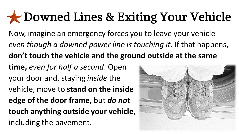#### Downed Lines & Exiting Your Vehicle

- Now, imagine an emergency forces you to leave your vehicle *even though a downed power line is touching it*. If that happens, **don't touch the vehicle and the ground outside at the same**
- **time,** *even for half a second*. Open your door and, staying *inside* the vehicle, move to **stand on the inside edge of the door frame,** but *do not* **touch anything outside your vehicle,**  including the pavement.

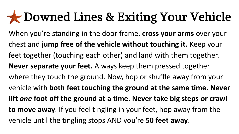#### **Downed Lines & Exiting Your Vehicle**

When you're standing in the door frame, **cross your arms** over your chest and **jump free of the vehicle without touching it.** Keep your feet together (touching each other) and land with them together. **Never separate your feet.** Always keep them pressed together where they touch the ground. Now, hop or shuffle away from your vehicle with **both feet touching the ground at the same time. Never lift** *one* **foot off the ground at a time. Never take big steps or crawl to move away**. If you feel tingling in your feet, hop away from the vehicle until the tingling stops AND you're **50 feet away**.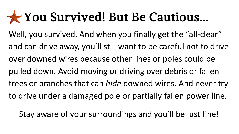#### You Survived! But Be Cautious...

Well, you survived. And when you finally get the "all-clear" and can drive away, you'll still want to be careful not to drive over downed wires because other lines or poles could be pulled down. Avoid moving or driving over debris or fallen trees or branches that can *hide* downed wires. And never try to drive under a damaged pole or partially fallen power line.

Stay aware of your surroundings and you'll be just fine!